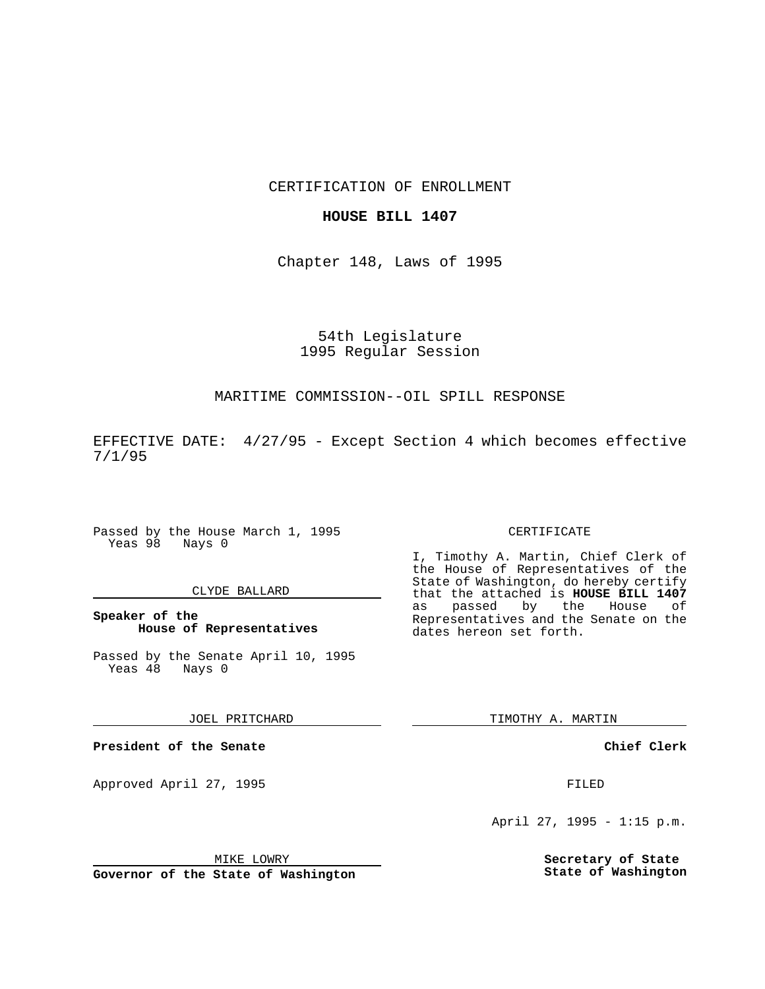CERTIFICATION OF ENROLLMENT

# **HOUSE BILL 1407**

Chapter 148, Laws of 1995

# 54th Legislature 1995 Regular Session

# MARITIME COMMISSION--OIL SPILL RESPONSE

EFFECTIVE DATE: 4/27/95 - Except Section 4 which becomes effective 7/1/95

Passed by the House March 1, 1995 Yeas 98 Nays 0

#### CLYDE BALLARD

**Speaker of the House of Representatives**

Passed by the Senate April 10, 1995<br>Yeas 48 Nays 0 Yeas 48

### JOEL PRITCHARD

**President of the Senate**

Approved April 27, 1995 FILED

## MIKE LOWRY

**Governor of the State of Washington**

#### CERTIFICATE

I, Timothy A. Martin, Chief Clerk of the House of Representatives of the State of Washington, do hereby certify that the attached is **HOUSE BILL 1407** as passed by the House Representatives and the Senate on the dates hereon set forth.

TIMOTHY A. MARTIN

## **Chief Clerk**

April 27, 1995 - 1:15 p.m.

**Secretary of State State of Washington**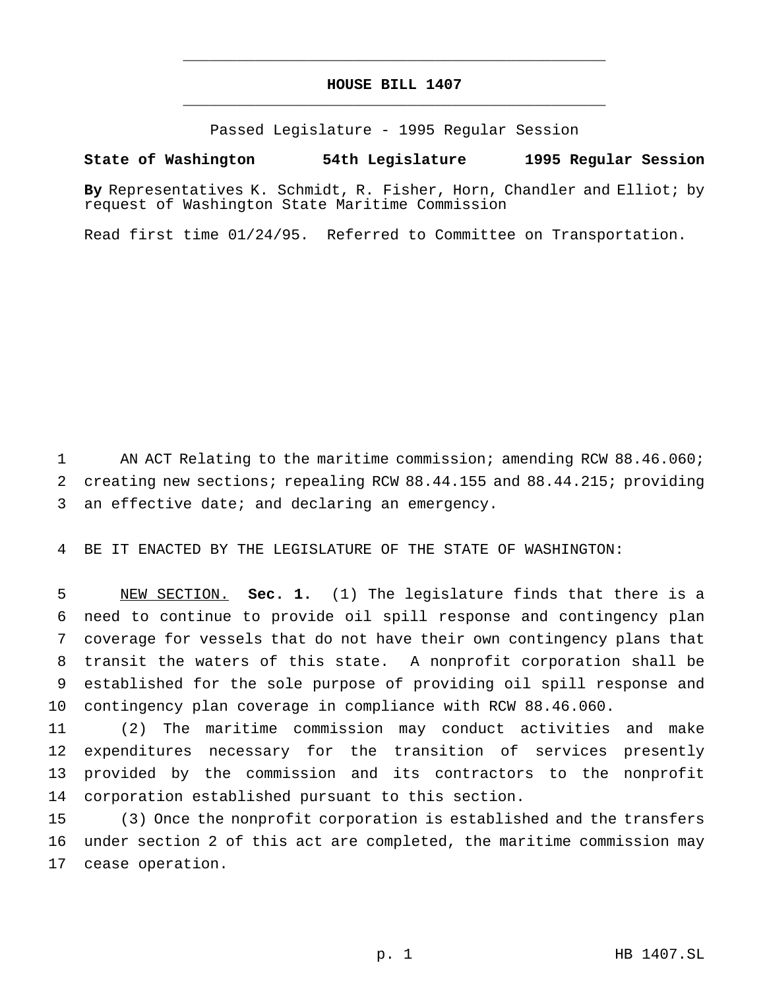# **HOUSE BILL 1407** \_\_\_\_\_\_\_\_\_\_\_\_\_\_\_\_\_\_\_\_\_\_\_\_\_\_\_\_\_\_\_\_\_\_\_\_\_\_\_\_\_\_\_\_\_\_\_

\_\_\_\_\_\_\_\_\_\_\_\_\_\_\_\_\_\_\_\_\_\_\_\_\_\_\_\_\_\_\_\_\_\_\_\_\_\_\_\_\_\_\_\_\_\_\_

Passed Legislature - 1995 Regular Session

# **State of Washington 54th Legislature 1995 Regular Session**

**By** Representatives K. Schmidt, R. Fisher, Horn, Chandler and Elliot; by request of Washington State Maritime Commission

Read first time 01/24/95. Referred to Committee on Transportation.

 AN ACT Relating to the maritime commission; amending RCW 88.46.060; creating new sections; repealing RCW 88.44.155 and 88.44.215; providing an effective date; and declaring an emergency.

BE IT ENACTED BY THE LEGISLATURE OF THE STATE OF WASHINGTON:

 NEW SECTION. **Sec. 1.** (1) The legislature finds that there is a need to continue to provide oil spill response and contingency plan coverage for vessels that do not have their own contingency plans that transit the waters of this state. A nonprofit corporation shall be established for the sole purpose of providing oil spill response and contingency plan coverage in compliance with RCW 88.46.060.

 (2) The maritime commission may conduct activities and make expenditures necessary for the transition of services presently provided by the commission and its contractors to the nonprofit corporation established pursuant to this section.

 (3) Once the nonprofit corporation is established and the transfers under section 2 of this act are completed, the maritime commission may cease operation.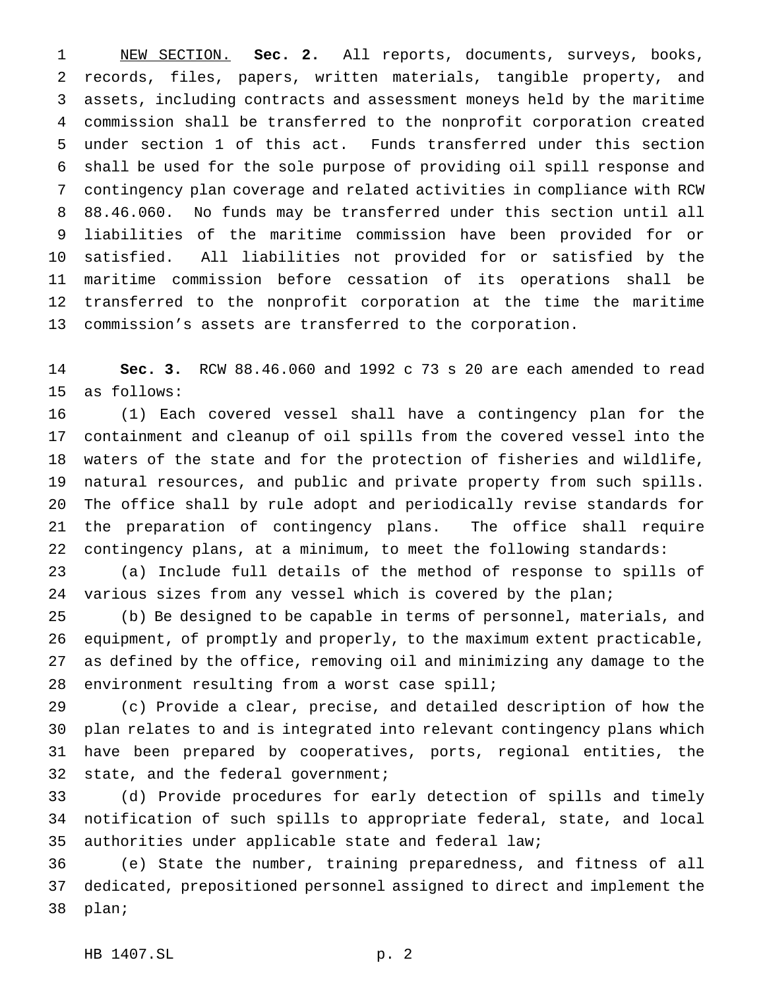NEW SECTION. **Sec. 2.** All reports, documents, surveys, books, records, files, papers, written materials, tangible property, and assets, including contracts and assessment moneys held by the maritime commission shall be transferred to the nonprofit corporation created under section 1 of this act. Funds transferred under this section shall be used for the sole purpose of providing oil spill response and contingency plan coverage and related activities in compliance with RCW 88.46.060. No funds may be transferred under this section until all liabilities of the maritime commission have been provided for or satisfied. All liabilities not provided for or satisfied by the maritime commission before cessation of its operations shall be transferred to the nonprofit corporation at the time the maritime commission's assets are transferred to the corporation.

 **Sec. 3.** RCW 88.46.060 and 1992 c 73 s 20 are each amended to read as follows:

 (1) Each covered vessel shall have a contingency plan for the containment and cleanup of oil spills from the covered vessel into the waters of the state and for the protection of fisheries and wildlife, natural resources, and public and private property from such spills. The office shall by rule adopt and periodically revise standards for the preparation of contingency plans. The office shall require contingency plans, at a minimum, to meet the following standards:

 (a) Include full details of the method of response to spills of 24 various sizes from any vessel which is covered by the plan;

 (b) Be designed to be capable in terms of personnel, materials, and equipment, of promptly and properly, to the maximum extent practicable, as defined by the office, removing oil and minimizing any damage to the 28 environment resulting from a worst case spill;

 (c) Provide a clear, precise, and detailed description of how the plan relates to and is integrated into relevant contingency plans which have been prepared by cooperatives, ports, regional entities, the 32 state, and the federal government;

 (d) Provide procedures for early detection of spills and timely notification of such spills to appropriate federal, state, and local authorities under applicable state and federal law;

 (e) State the number, training preparedness, and fitness of all dedicated, prepositioned personnel assigned to direct and implement the plan;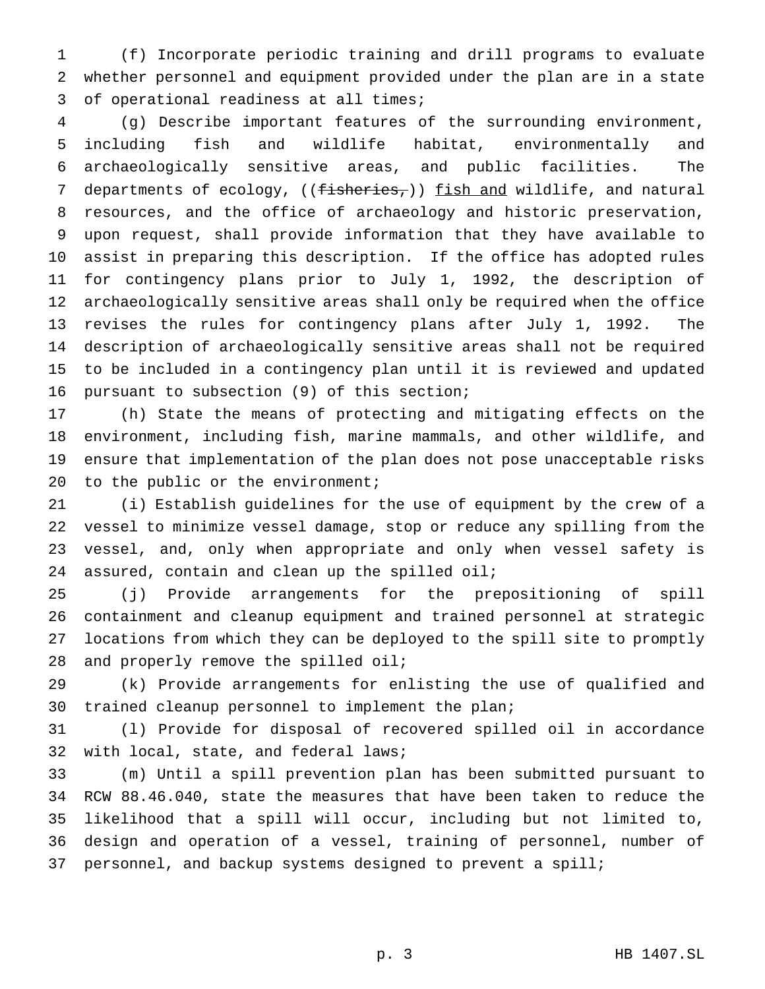(f) Incorporate periodic training and drill programs to evaluate whether personnel and equipment provided under the plan are in a state of operational readiness at all times;

 (g) Describe important features of the surrounding environment, including fish and wildlife habitat, environmentally and archaeologically sensitive areas, and public facilities. The 7 departments of ecology, ((fisheries,)) fish and wildlife, and natural resources, and the office of archaeology and historic preservation, upon request, shall provide information that they have available to assist in preparing this description. If the office has adopted rules for contingency plans prior to July 1, 1992, the description of archaeologically sensitive areas shall only be required when the office revises the rules for contingency plans after July 1, 1992. The description of archaeologically sensitive areas shall not be required to be included in a contingency plan until it is reviewed and updated pursuant to subsection (9) of this section;

 (h) State the means of protecting and mitigating effects on the environment, including fish, marine mammals, and other wildlife, and ensure that implementation of the plan does not pose unacceptable risks 20 to the public or the environment;

 (i) Establish guidelines for the use of equipment by the crew of a vessel to minimize vessel damage, stop or reduce any spilling from the vessel, and, only when appropriate and only when vessel safety is assured, contain and clean up the spilled oil;

 (j) Provide arrangements for the prepositioning of spill containment and cleanup equipment and trained personnel at strategic locations from which they can be deployed to the spill site to promptly and properly remove the spilled oil;

 (k) Provide arrangements for enlisting the use of qualified and trained cleanup personnel to implement the plan;

 (l) Provide for disposal of recovered spilled oil in accordance with local, state, and federal laws;

 (m) Until a spill prevention plan has been submitted pursuant to RCW 88.46.040, state the measures that have been taken to reduce the likelihood that a spill will occur, including but not limited to, design and operation of a vessel, training of personnel, number of personnel, and backup systems designed to prevent a spill;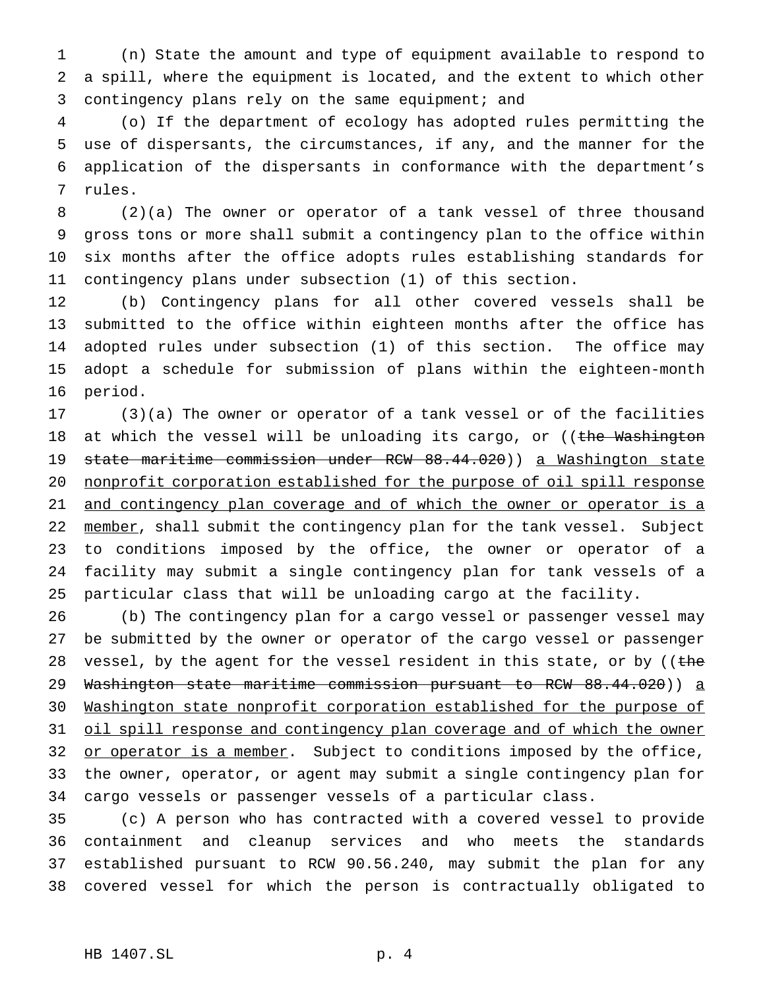(n) State the amount and type of equipment available to respond to a spill, where the equipment is located, and the extent to which other contingency plans rely on the same equipment; and

 (o) If the department of ecology has adopted rules permitting the use of dispersants, the circumstances, if any, and the manner for the application of the dispersants in conformance with the department's rules.

 (2)(a) The owner or operator of a tank vessel of three thousand gross tons or more shall submit a contingency plan to the office within six months after the office adopts rules establishing standards for contingency plans under subsection (1) of this section.

 (b) Contingency plans for all other covered vessels shall be submitted to the office within eighteen months after the office has adopted rules under subsection (1) of this section. The office may adopt a schedule for submission of plans within the eighteen-month period.

 (3)(a) The owner or operator of a tank vessel or of the facilities 18 at which the vessel will be unloading its cargo, or ((the Washington state maritime commission under RCW 88.44.020)) a Washington state 20 nonprofit corporation established for the purpose of oil spill response 21 and contingency plan coverage and of which the owner or operator is a 22 member, shall submit the contingency plan for the tank vessel. Subject to conditions imposed by the office, the owner or operator of a facility may submit a single contingency plan for tank vessels of a particular class that will be unloading cargo at the facility.

 (b) The contingency plan for a cargo vessel or passenger vessel may be submitted by the owner or operator of the cargo vessel or passenger 28 vessel, by the agent for the vessel resident in this state, or by ((the 29 <del>Washington state maritime commission pursuant to RCW 88.44.020</del>)) <u>a</u> Washington state nonprofit corporation established for the purpose of 31 oil spill response and contingency plan coverage and of which the owner 32 or operator is a member. Subject to conditions imposed by the office, the owner, operator, or agent may submit a single contingency plan for cargo vessels or passenger vessels of a particular class.

 (c) A person who has contracted with a covered vessel to provide containment and cleanup services and who meets the standards established pursuant to RCW 90.56.240, may submit the plan for any covered vessel for which the person is contractually obligated to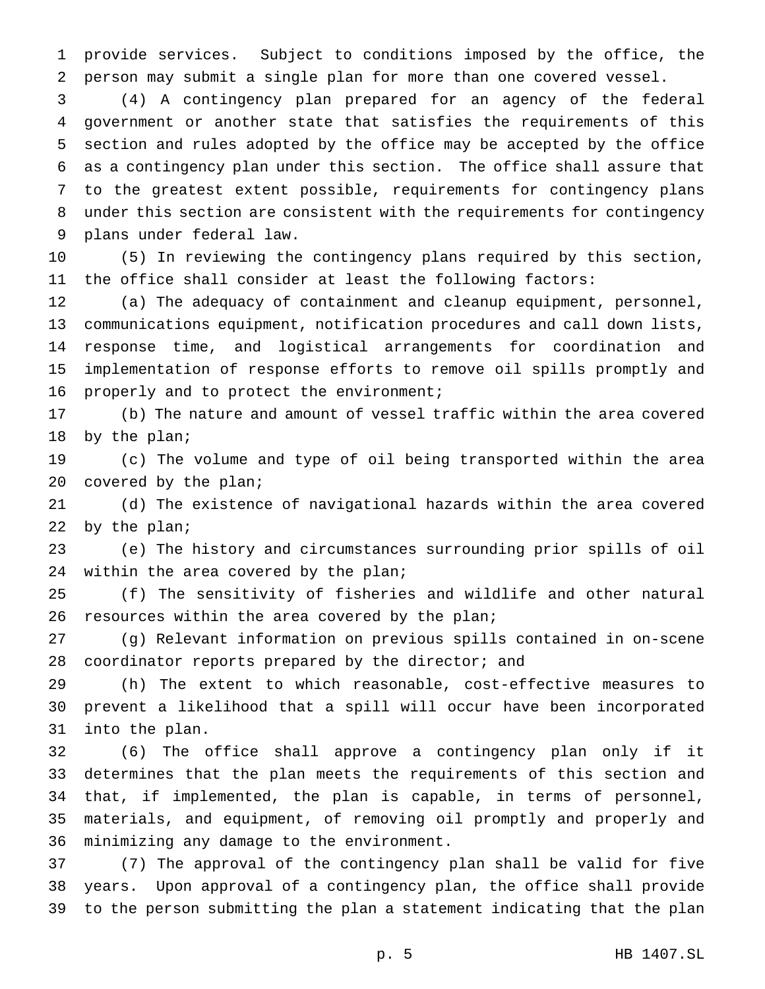provide services. Subject to conditions imposed by the office, the person may submit a single plan for more than one covered vessel.

 (4) A contingency plan prepared for an agency of the federal government or another state that satisfies the requirements of this section and rules adopted by the office may be accepted by the office as a contingency plan under this section. The office shall assure that to the greatest extent possible, requirements for contingency plans under this section are consistent with the requirements for contingency plans under federal law.

 (5) In reviewing the contingency plans required by this section, the office shall consider at least the following factors:

 (a) The adequacy of containment and cleanup equipment, personnel, communications equipment, notification procedures and call down lists, response time, and logistical arrangements for coordination and implementation of response efforts to remove oil spills promptly and 16 properly and to protect the environment;

 (b) The nature and amount of vessel traffic within the area covered by the plan;

 (c) The volume and type of oil being transported within the area covered by the plan;

 (d) The existence of navigational hazards within the area covered 22 by the plan;

 (e) The history and circumstances surrounding prior spills of oil 24 within the area covered by the plan;

 (f) The sensitivity of fisheries and wildlife and other natural 26 resources within the area covered by the plan;

 (g) Relevant information on previous spills contained in on-scene coordinator reports prepared by the director; and

 (h) The extent to which reasonable, cost-effective measures to prevent a likelihood that a spill will occur have been incorporated into the plan.

 (6) The office shall approve a contingency plan only if it determines that the plan meets the requirements of this section and that, if implemented, the plan is capable, in terms of personnel, materials, and equipment, of removing oil promptly and properly and minimizing any damage to the environment.

 (7) The approval of the contingency plan shall be valid for five years. Upon approval of a contingency plan, the office shall provide to the person submitting the plan a statement indicating that the plan